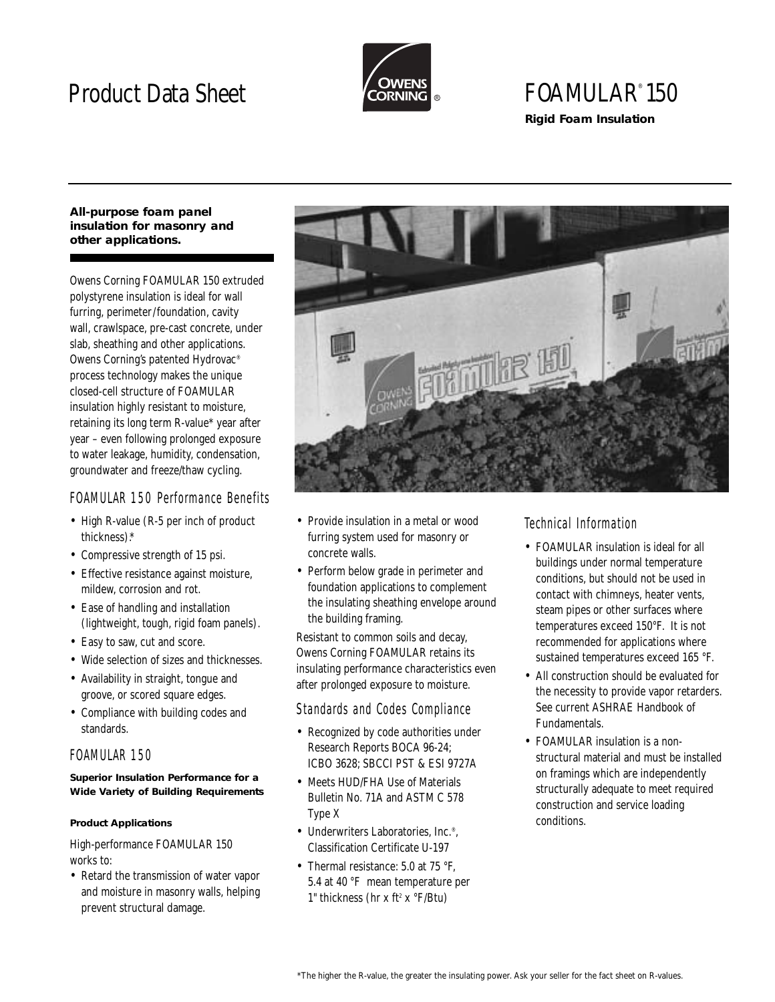# Product Data Sheet



## FOAMULAR® 150 **Rigid Foam Insulation**

#### **All-purpose foam panel insulation for masonry and other applications.**

Owens Corning FOAMULAR 150 extruded polystyrene insulation is ideal for wall furring, perimeter/foundation, cavity wall, crawlspace, pre-cast concrete, under slab, sheathing and other applications. Owens Corning's patented Hydrovac® process technology makes the unique closed-cell structure of FOAMULAR insulation highly resistant to moisture, retaining its long term R-value\* year after year – even following prolonged exposure to water leakage, humidity, condensation, groundwater and freeze/thaw cycling.

## FOAMULAR 150 Performance Benefits

- High R-value (R-5 per inch of product thickness).\*
- Compressive strength of 15 psi.
- Effective resistance against moisture, mildew, corrosion and rot.
- Ease of handling and installation (lightweight, tough, rigid foam panels).
- Easy to saw, cut and score.
- Wide selection of sizes and thicknesses.
- Availability in straight, tongue and groove, or scored square edges.
- Compliance with building codes and standards.

## FOAMULAR 150

### **Superior Insulation Performance for a Wide Variety of Building Requirements**

### **Product Applications**

High-performance FOAMULAR 150 works to:

• Retard the transmission of water vapor and moisture in masonry walls, helping prevent structural damage.



- Provide insulation in a metal or wood furring system used for masonry or concrete walls.
- Perform below grade in perimeter and foundation applications to complement the insulating sheathing envelope around the building framing.

Resistant to common soils and decay, Owens Corning FOAMULAR retains its insulating performance characteristics even after prolonged exposure to moisture.

## Standards and Codes Compliance

- Recognized by code authorities under Research Reports BOCA 96-24; ICBO 3628; SBCCI PST & ESI 9727A
- Meets HUD/FHA Use of Materials Bulletin No. 71A and ASTM C 578 Type X
- Underwriters Laboratories, Inc.<sup>®</sup>. Classification Certificate U-197
- Thermal resistance: 5.0 at 75 °F. 5.4 at 40 °F mean temperature per 1" thickness (hr x ft<sup>2</sup> x  $\rm{P/Btu}$ )

## Technical Information

- FOAMULAR insulation is ideal for all buildings under normal temperature conditions, but should not be used in contact with chimneys, heater vents, steam pipes or other surfaces where temperatures exceed 150°F. It is not recommended for applications where sustained temperatures exceed 165 °F.
- All construction should be evaluated for the necessity to provide vapor retarders. See current ASHRAE Handbook of Fundamentals.
- FOAMULAR insulation is a nonstructural material and must be installed on framings which are independently structurally adequate to meet required construction and service loading conditions.